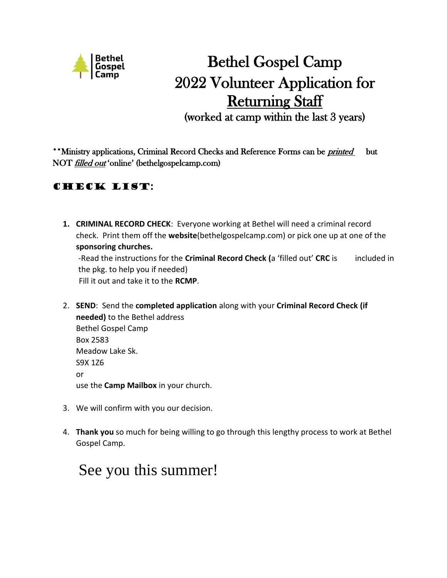

# Bethel Gospel Camp 2022 Volunteer Application for **Returning Staff**

(worked at camp within the last 3 years)

\*\*Ministry applications, Criminal Record Checks and Reference Forms can be *printed* but NOT *filled out* 'online' (bethelgospelcamp.com)

## Check list:

- **1. CRIMINAL RECORD CHECK**: Everyone working at Bethel will need a criminal record check. Print them off the **website**(bethelgospelcamp.com) or pick one up at one of the **sponsoring churches.** -Read the instructions for the **Criminal Record Check (**a 'filled out' **CRC** is included in the pkg. to help you if needed) Fill it out and take it to the **RCMP**.
- 2. **SEND**: Send the **completed application** along with your **Criminal Record Check (if needed)** to the Bethel address Bethel Gospel Camp Box 2583 Meadow Lake Sk. S9X 1Z6 or use the **Camp Mailbox** in your church.
- 3. We will confirm with you our decision.
- 4. **Thank you** so much for being willing to go through this lengthy process to work at Bethel Gospel Camp.

## See you this summer!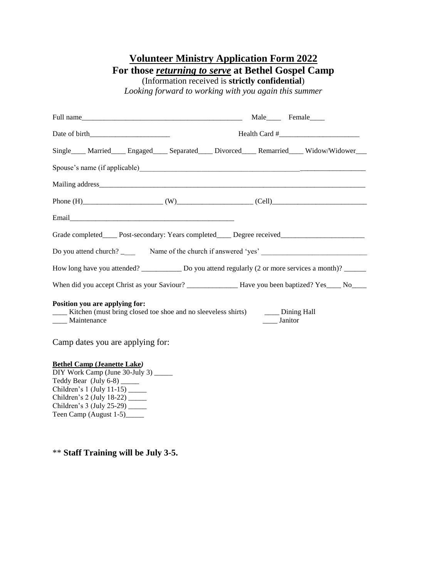### **Volunteer Ministry Application Form 2022 For those** *returning to serve* **at Bethel Gospel Camp** (Information received is **strictly confidential**)

*Looking forward to working with you again this summer*

| Full name                                                                                                                                  | Male Female   |  |  |  |  |  |
|--------------------------------------------------------------------------------------------------------------------------------------------|---------------|--|--|--|--|--|
|                                                                                                                                            |               |  |  |  |  |  |
| Single Married Engaged Separated Divorced Remarried Widow/Widower                                                                          |               |  |  |  |  |  |
|                                                                                                                                            |               |  |  |  |  |  |
|                                                                                                                                            |               |  |  |  |  |  |
|                                                                                                                                            |               |  |  |  |  |  |
|                                                                                                                                            |               |  |  |  |  |  |
| Grade completed_____ Post-secondary: Years completed_____ Degree received__________________________                                        |               |  |  |  |  |  |
|                                                                                                                                            |               |  |  |  |  |  |
| How long have you attended? _____________ Do you attend regularly (2 or more services a month)? ______                                     |               |  |  |  |  |  |
|                                                                                                                                            |               |  |  |  |  |  |
| Position you are applying for:<br>[100] Kitchen (must bring closed toe shoe and no sleeveless shirts) [100] Dining Hall<br>___ Maintenance | _____ Janitor |  |  |  |  |  |
| Camp dates you are applying for:                                                                                                           |               |  |  |  |  |  |

#### **Bethel Camp (Jeanette Lake***)*

DIY Work Camp (June 30-July 3) \_\_\_\_\_ Teddy Bear (July 6-8) \_\_\_\_\_ Children's 1 (July  $11-15$ ) Children's 2 (July 18-22) \_\_\_\_\_ Children's 3 (July 25-29) \_\_\_\_\_ Teen Camp (August 1-5)

\*\* **Staff Training will be July 3-5.**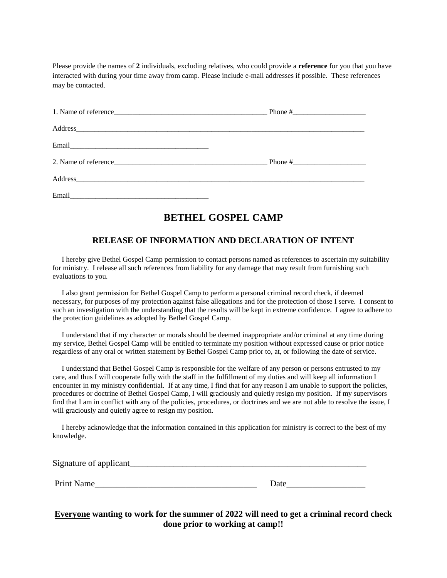Please provide the names of **2** individuals, excluding relatives, who could provide a **reference** for you that you have interacted with during your time away from camp. Please include e-mail addresses if possible. These references may be contacted.

| Address |  |
|---------|--|
| Email   |  |

## **BETHEL GOSPEL CAMP**

#### **RELEASE OF INFORMATION AND DECLARATION OF INTENT**

I hereby give Bethel Gospel Camp permission to contact persons named as references to ascertain my suitability for ministry. I release all such references from liability for any damage that may result from furnishing such evaluations to you.

 I also grant permission for Bethel Gospel Camp to perform a personal criminal record check, if deemed necessary, for purposes of my protection against false allegations and for the protection of those I serve. I consent to such an investigation with the understanding that the results will be kept in extreme confidence. I agree to adhere to the protection guidelines as adopted by Bethel Gospel Camp.

 I understand that if my character or morals should be deemed inappropriate and/or criminal at any time during my service, Bethel Gospel Camp will be entitled to terminate my position without expressed cause or prior notice regardless of any oral or written statement by Bethel Gospel Camp prior to, at, or following the date of service.

 I understand that Bethel Gospel Camp is responsible for the welfare of any person or persons entrusted to my care, and thus I will cooperate fully with the staff in the fulfillment of my duties and will keep all information I encounter in my ministry confidential. If at any time, I find that for any reason I am unable to support the policies, procedures or doctrine of Bethel Gospel Camp, I will graciously and quietly resign my position. If my supervisors find that I am in conflict with any of the policies, procedures, or doctrines and we are not able to resolve the issue, I will graciously and quietly agree to resign my position.

 I hereby acknowledge that the information contained in this application for ministry is correct to the best of my knowledge.

| Signature of applicant |  |  |
|------------------------|--|--|
|                        |  |  |

Print Name

| Date |  |  |  |  |
|------|--|--|--|--|
|      |  |  |  |  |

**Everyone wanting to work for the summer of 2022 will need to get a criminal record check done prior to working at camp!!**